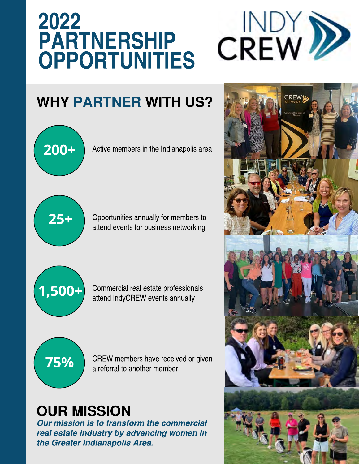## 2022 **PARTNERSHIP** OPPORTUNITIES



## WHY PARTNER WITH US?



**Our mission is to transform the commercial real estate industry by advancing women in the Greater Indianapolis Area.** 

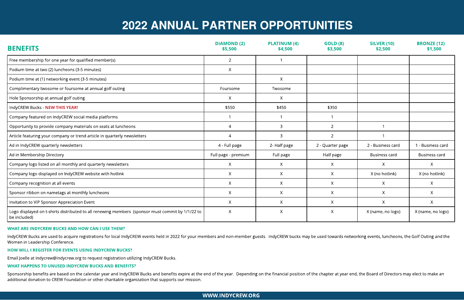

# **2022 ANNUAL PARTNER OPPORTUNITIES**

| <b>BENEFITS</b>                                                                                                  | <b>DIAMOND (2)</b><br>\$5,500 | <b>PLATINUM (4)</b><br>\$4,500 | <b>GOLD (8)</b><br>\$3,500 | <b>SILVER (10)</b><br>\$2,500 | <b>BRONZE (12)</b><br>\$1,500 |
|------------------------------------------------------------------------------------------------------------------|-------------------------------|--------------------------------|----------------------------|-------------------------------|-------------------------------|
| Free membership for one year for qualified member(s)                                                             | 2 <sup>1</sup>                | $\mathbf{1}$                   |                            |                               |                               |
| Podium time at two (2) luncheons (3-5 minutes)                                                                   | $\mathsf{X}$                  |                                |                            |                               |                               |
| Podium time at (1) networking event (3-5 minutes)                                                                |                               | $\mathsf{X}$                   |                            |                               |                               |
| Complimentary twosome or foursome at annual golf outing                                                          | Foursome                      | Twosome                        |                            |                               |                               |
| Hole Sponsorship at annual golf outing                                                                           | X                             | $\mathsf{X}$                   |                            |                               |                               |
| IndyCREW Bucks - NEW THIS YEAR!                                                                                  | \$550                         | \$450                          | \$350                      |                               |                               |
| Company featured on IndyCREW social media platforms                                                              |                               |                                | 1                          |                               |                               |
| Opportunity to provide company materials on seats at luncheons                                                   | 4                             | 3                              | $2^{\circ}$                |                               |                               |
| Article featuring your company or trend article in quarterly newsletters                                         | $\Delta$                      | $\overline{3}$                 | $\overline{2}$             |                               |                               |
| Ad in IndyCREW quarterly newsletters                                                                             | 4 - Full page                 | 2- Half page                   | 2 - Quarter page           | 2 - Business card             | 1 - Business card             |
| Ad in Membership Directory                                                                                       | Full page - premium           | Full page                      | Half page                  | <b>Business card</b>          | <b>Business card</b>          |
| Company logo listed on all monthly and quarterly newsletters                                                     | X                             | $\mathsf{X}$                   | $\mathsf{X}$               | X                             | X                             |
| Company logo displayed on IndyCREW website with hotlink                                                          | X                             | $\mathsf{X}$                   | X                          | X (no hotlink)                | X (no hotlink)                |
| Company recognition at all events                                                                                | X                             | X                              | X                          | X                             | X                             |
| Sponsor ribbon on nametags at monthly luncheons                                                                  | X                             | $\chi$                         | X                          | X                             | X                             |
| Invitation to VIP Sponsor Appreciation Event                                                                     | X                             | $\mathsf{X}$                   | $\mathsf{X}$               | X                             | X                             |
| Logo displayed on t-shirts distributed to all renewing members (sponsor must commit by 1/1/22 to<br>be included) | $\mathsf{X}$                  | $\mathsf{X}$                   | $\mathsf{X}$               | X (name, no logo)             | X (name, no logo)             |

Sponsorship benefits are based on the calendar year and IndyCREW Bucks and benefits expire at the end of the year. Depending on the financial position of the chapter at year end, the Board of Directors may elect to make an additional donation to CREW Foundation or other charitable organization that supports our mission.

### WHAT ARE INDYCREW BUCKS AND HOW CAN I USE THEM?

IndyCREW Bucks are used to acquire registrations for local IndyCREW events held in 2022 for your members and non-member guests. IndyCREW bucks may be used towards networking events, luncheons, the Golf Outing and the Women in Leadership Conference.

## HOW WILL I REGISTER FOR EVENTS USING INDYCREW BUCKS?

Email Joelle at indycrew@indycrew.org to request registration utilizing IndyCREW Bucks.

## WHAT HAPPENS TO UNUSED INDYCREW BUCKS AND BENEFITS?